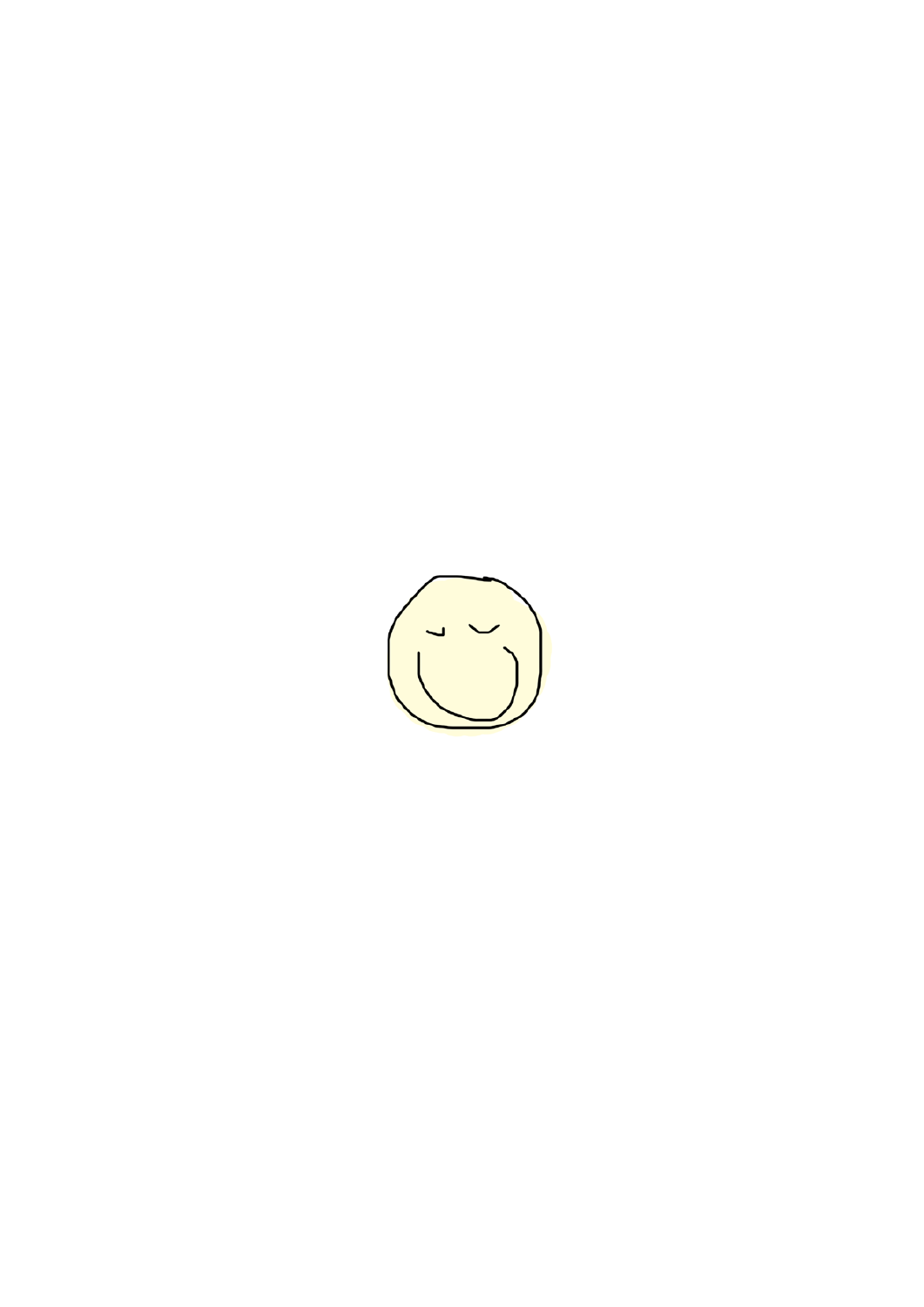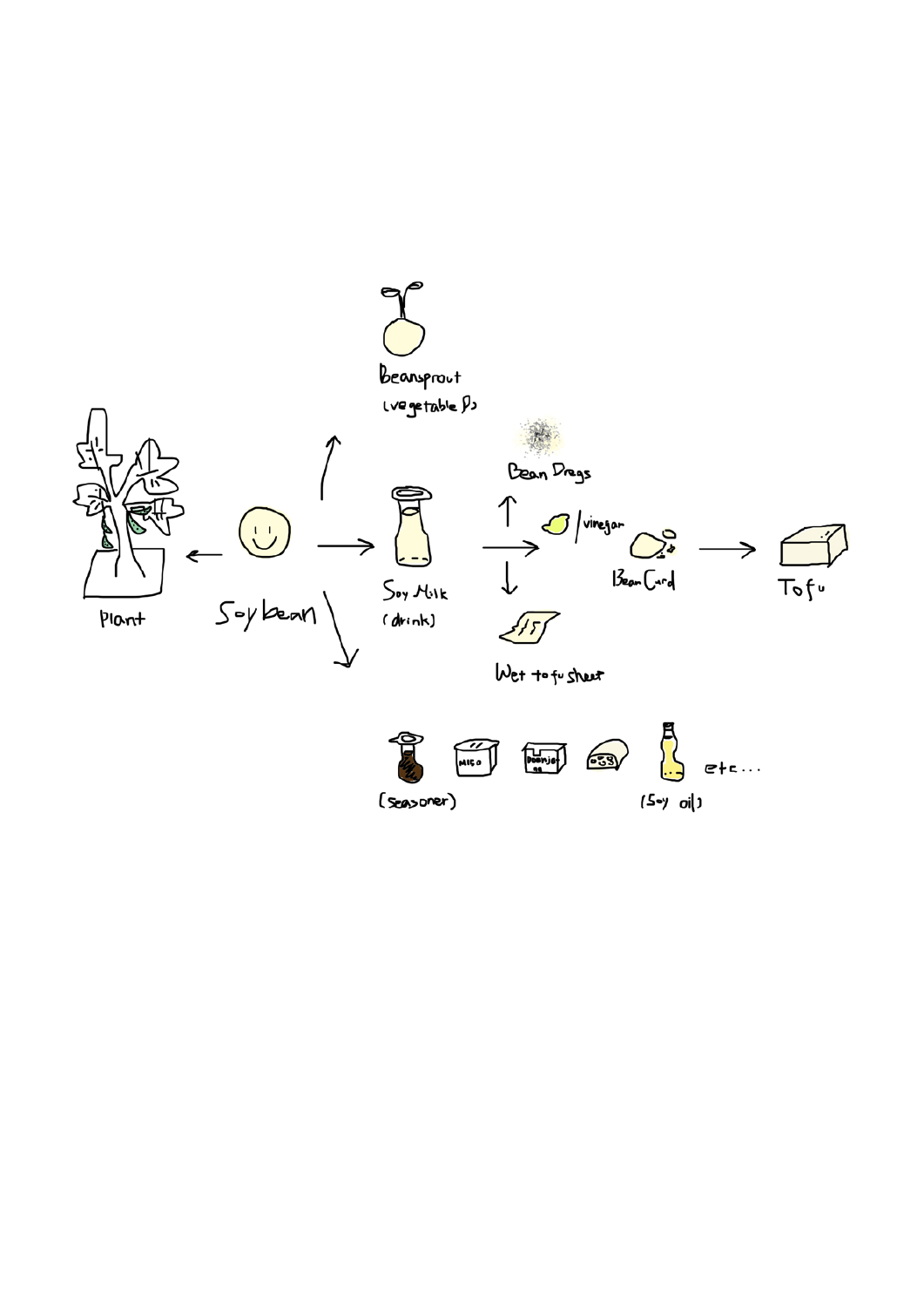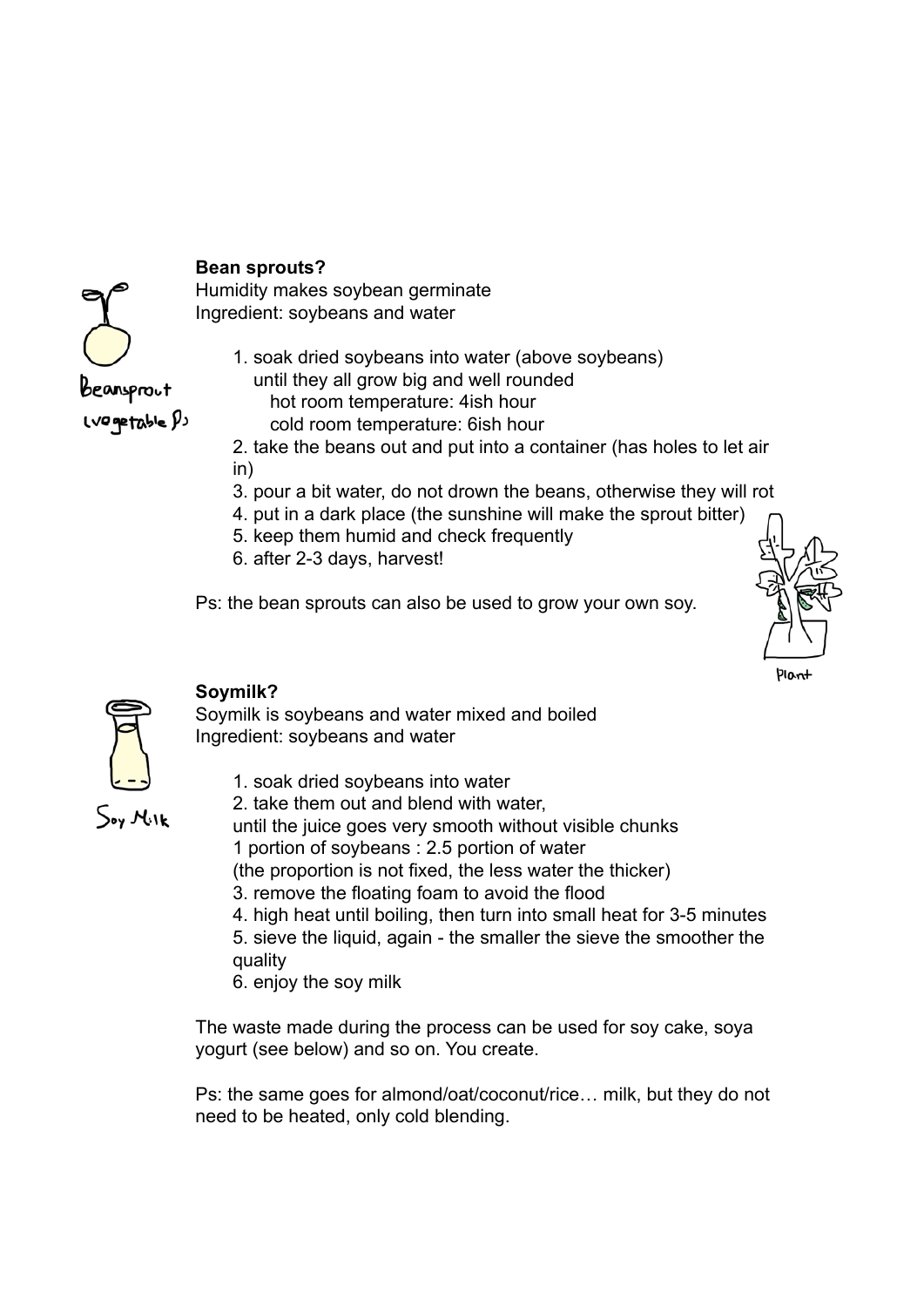# lveqetable P3

### **Bean sprouts?**

Humidity makes soybean germinate Ingredient: soybeans and water

- 1. soak dried soybeans into water (above soybeans)
- until they all grow big and well rounded hot room temperature: 4ish hour
	- cold room temperature: 6ish hour
- 2. take the beans out and put into a container (has holes to let air in)
- 3. pour a bit water, do not drown the beans, otherwise they will rot
- 4. put in a dark place (the sunshine will make the sprout bitter)
- 5. keep them humid and check frequently
- 6. after 2-3 days, harvest!

Ps: the bean sprouts can also be used to grow your own soy.





### **Soymilk?**

Soymilk is soybeans and water mixed and boiled Ingredient: soybeans and water



- 1. soak dried soybeans into water
- 2. take them out and blend with water,
- until the juice goes very smooth without visible chunks 1 portion of soybeans : 2.5 portion of water (the proportion is not fixed, the less water the thicker)
- 3. remove the floating foam to avoid the flood
- 4. high heat until boiling, then turn into small heat for 3-5 minutes

5. sieve the liquid, again - the smaller the sieve the smoother the quality

6. enjoy the soy milk

The waste made during the process can be used for soy cake, soya yogurt (see below) and so on. You create.

Ps: the same goes for almond/oat/coconut/rice… milk, but they do not need to be heated, only cold blending.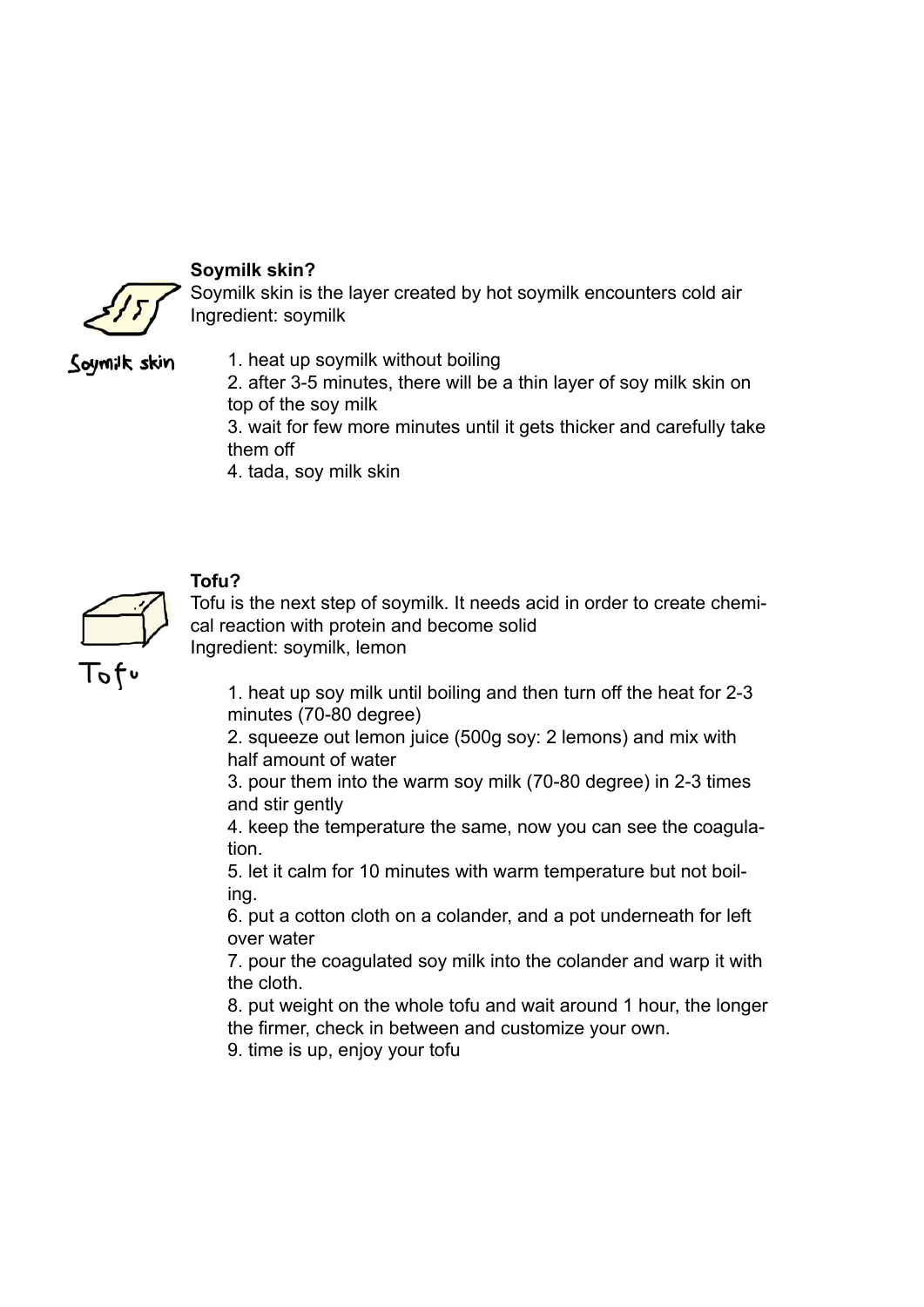

### **Soymilk skin?**

Soymilk skin is the layer created by hot soymilk encounters cold air Ingredient: soymilk

Soymilk skin

1. heat up soymilk without boiling

2. after 3-5 minutes, there will be a thin layer of soy milk skin on top of the soy milk

3. wait for few more minutes until it gets thicker and carefully take them off

4. tada, soy milk skin



# **Tofu?**

Tofu is the next step of soymilk. It needs acid in order to create chemical reaction with protein and become solid

Ingredient: soymilk, lemon

1. heat up soy milk until boiling and then turn off the heat for 2-3 minutes (70-80 degree)

2. squeeze out lemon juice (500g soy: 2 lemons) and mix with half amount of water

3. pour them into the warm soy milk (70-80 degree) in 2-3 times and stir gently

4. keep the temperature the same, now you can see the coagulation.

5. let it calm for 10 minutes with warm temperature but not boiling.

6. put a cotton cloth on a colander, and a pot underneath for left over water

7. pour the coagulated soy milk into the colander and warp it with the cloth.

8. put weight on the whole tofu and wait around 1 hour, the longer the firmer, check in between and customize your own.

9. time is up, enjoy your tofu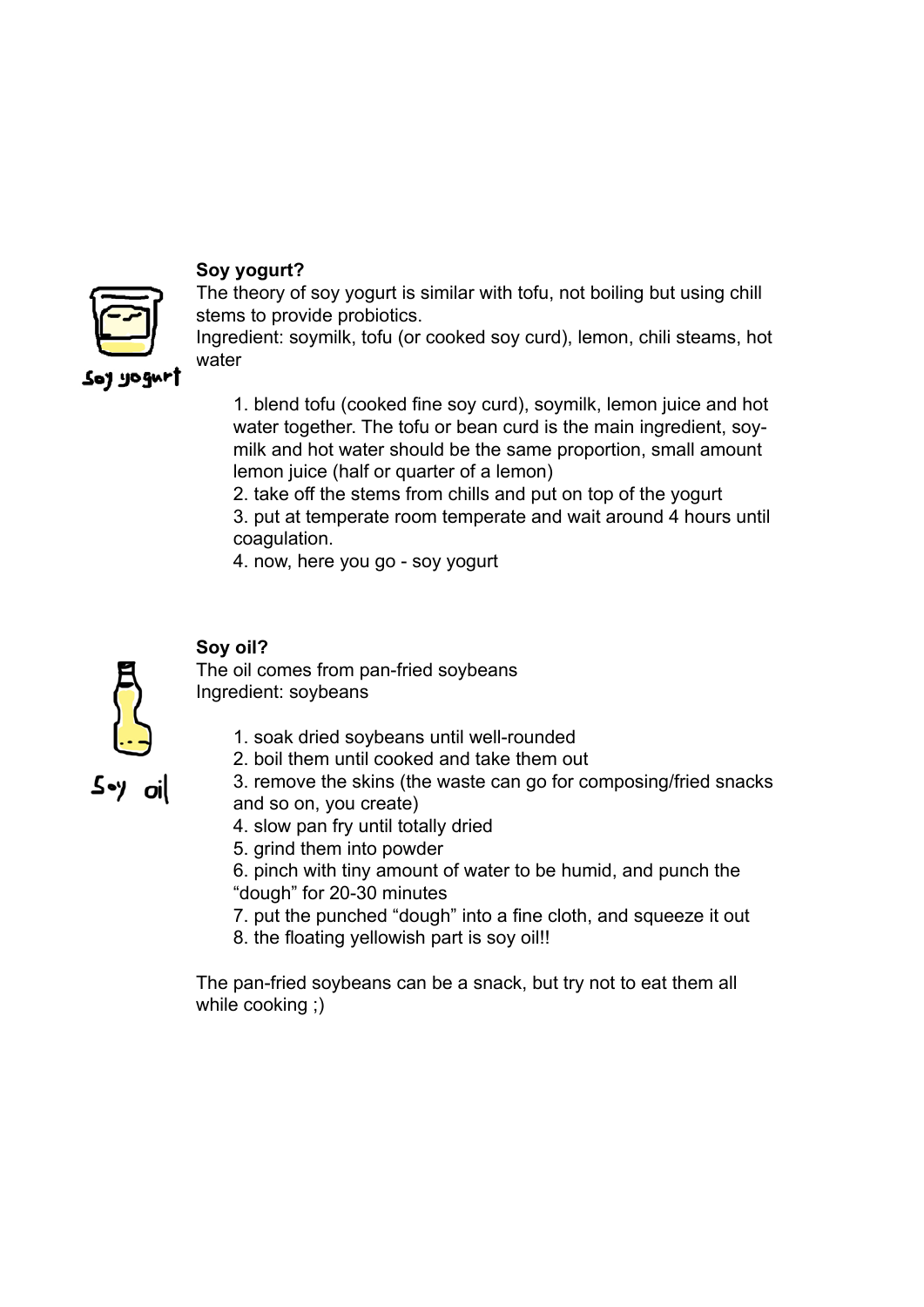# **Soy yogurt?**



The theory of soy yogurt is similar with tofu, not boiling but using chill stems to provide probiotics.

Ingredient: soymilk, tofu (or cooked soy curd), lemon, chili steams, hot water

1. blend tofu (cooked fine soy curd), soymilk, lemon juice and hot water together. The tofu or bean curd is the main ingredient, soymilk and hot water should be the same proportion, small amount lemon juice (half or quarter of a lemon)

2. take off the stems from chills and put on top of the yogurt

3. put at temperate room temperate and wait around 4 hours until coagulation.

4. now, here you go - soy yogurt



## **Soy oil?**

The oil comes from pan-fried soybeans Ingredient: soybeans

- 1. soak dried soybeans until well-rounded
- 2. boil them until cooked and take them out
- 3. remove the skins (the waste can go for composing/fried snacks and so on, you create)
- 4. slow pan fry until totally dried
- 5. grind them into powder

6. pinch with tiny amount of water to be humid, and punch the "dough" for 20-30 minutes

- 7. put the punched "dough" into a fine cloth, and squeeze it out
- 8. the floating yellowish part is soy oil!!

The pan-fried soybeans can be a snack, but try not to eat them all while cooking ;)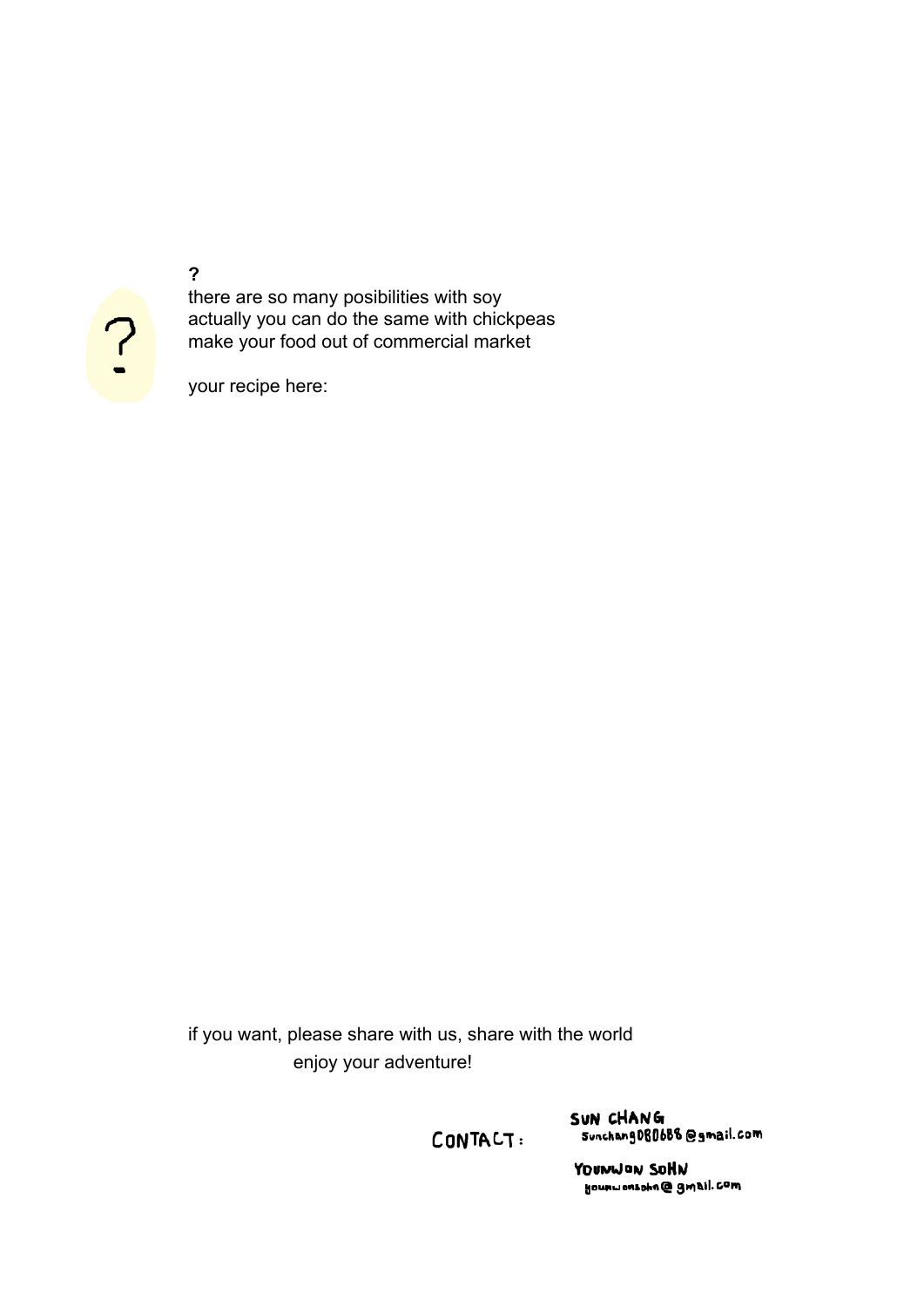

there are so many posibilities with soy actually you can do the same with chickpeas make your food out of commercial market

your recipe here:

**?**

if you want, please share with us, share with the world enjoy your adventure!

CONTACT:

SUN CHANG sunchang080688@gmail.com

YOUNWON SOHN yourwonsohn@gmail.com